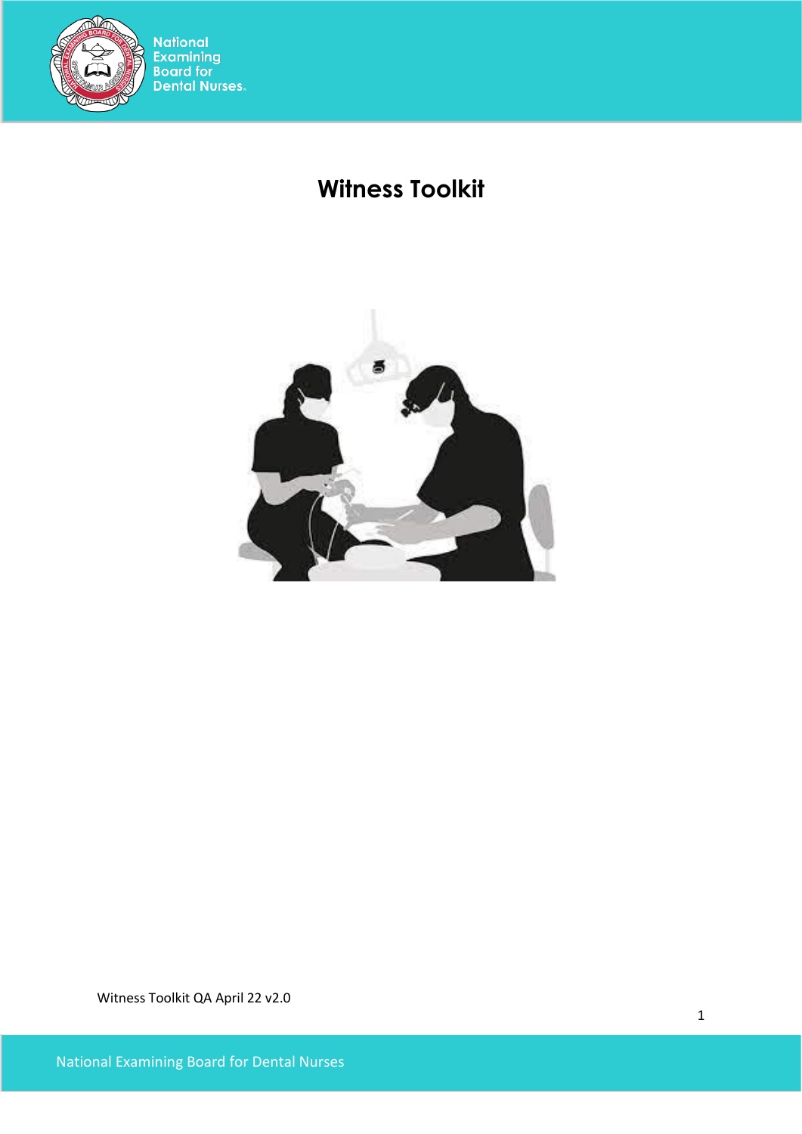

# **Witness Toolkit**

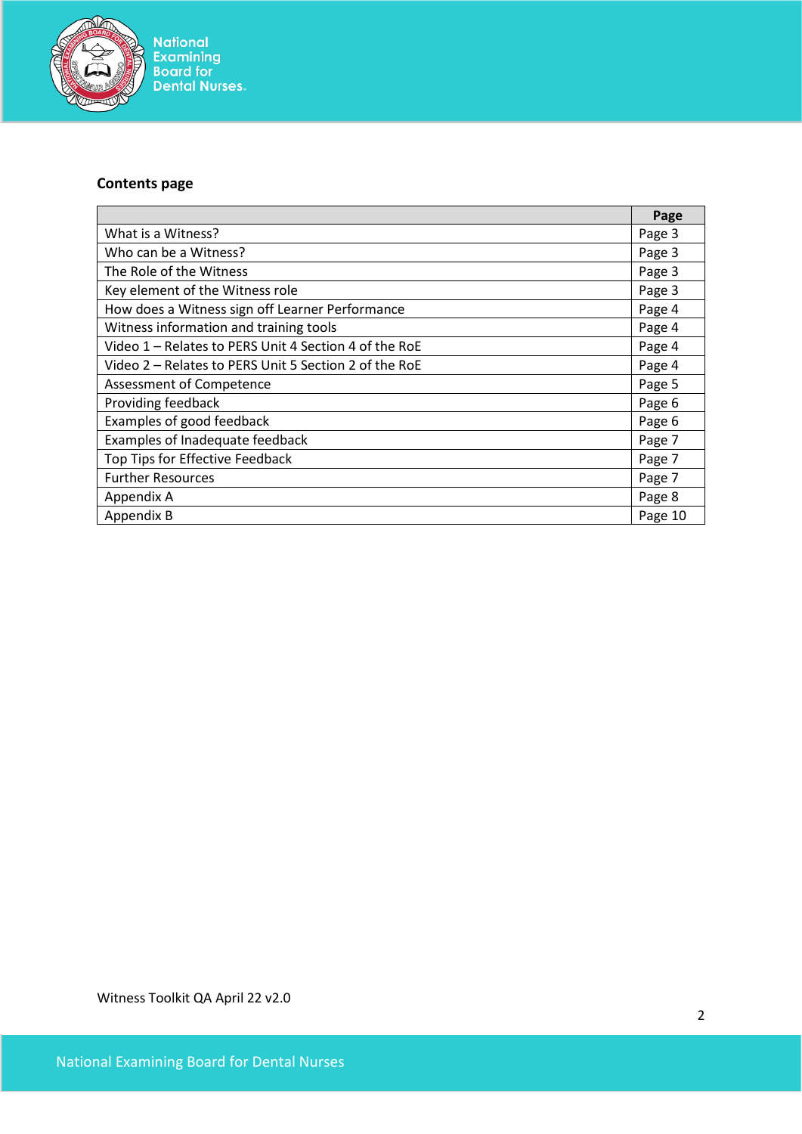

# **Contents page**

|                                                       | Page    |
|-------------------------------------------------------|---------|
| What is a Witness?                                    | Page 3  |
| Who can be a Witness?                                 | Page 3  |
| The Role of the Witness                               | Page 3  |
| Key element of the Witness role                       | Page 3  |
| How does a Witness sign off Learner Performance       | Page 4  |
| Witness information and training tools                | Page 4  |
| Video 1 - Relates to PERS Unit 4 Section 4 of the RoE | Page 4  |
| Video 2 - Relates to PERS Unit 5 Section 2 of the RoE | Page 4  |
| Assessment of Competence                              | Page 5  |
| Providing feedback                                    | Page 6  |
| Examples of good feedback                             | Page 6  |
| Examples of Inadequate feedback                       | Page 7  |
| Top Tips for Effective Feedback                       | Page 7  |
| <b>Further Resources</b>                              | Page 7  |
| Appendix A                                            | Page 8  |
| Appendix B                                            | Page 10 |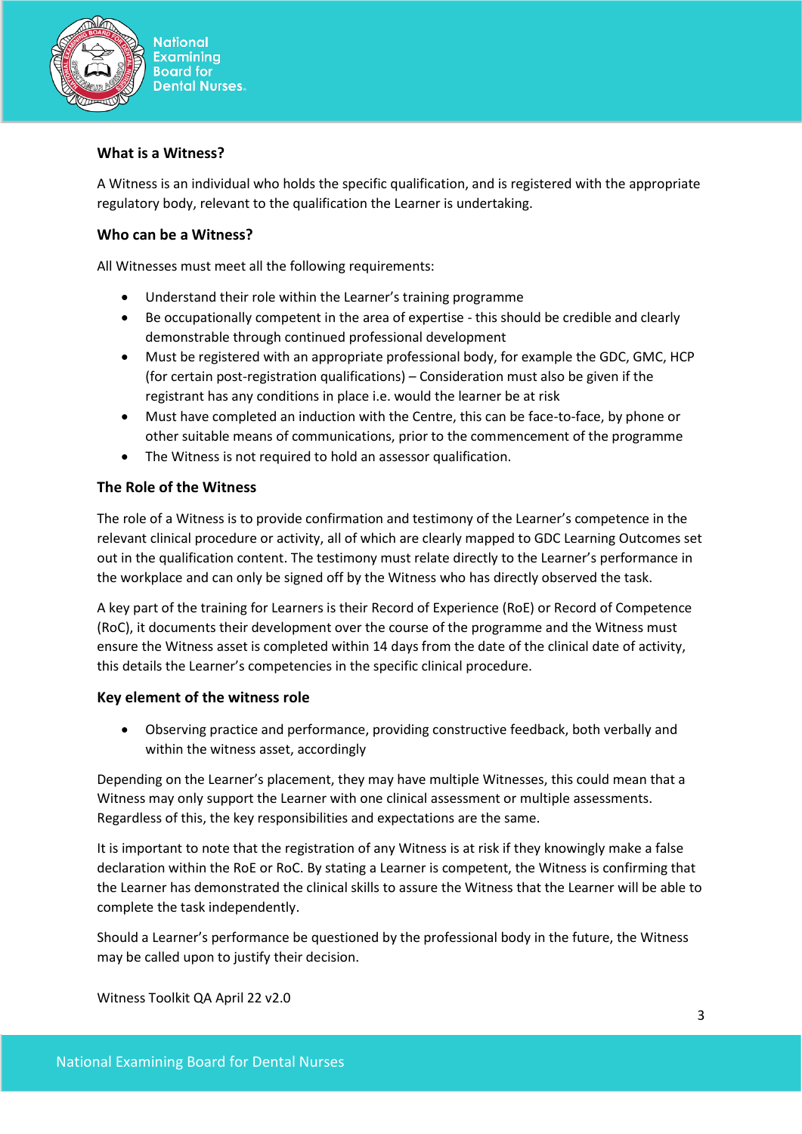

#### **What is a Witness?**

A Witness is an individual who holds the specific qualification, and is registered with the appropriate regulatory body, relevant to the qualification the Learner is undertaking.

#### **Who can be a Witness?**

All Witnesses must meet all the following requirements:

- Understand their role within the Learner's training programme
- Be occupationally competent in the area of expertise this should be credible and clearly demonstrable through continued professional development
- Must be registered with an appropriate professional body, for example the GDC, GMC, HCP (for certain post-registration qualifications) – Consideration must also be given if the registrant has any conditions in place i.e. would the learner be at risk
- Must have completed an induction with the Centre, this can be face-to-face, by phone or other suitable means of communications, prior to the commencement of the programme
- The Witness is not required to hold an assessor qualification.

#### **The Role of the Witness**

The role of a Witness is to provide confirmation and testimony of the Learner's competence in the relevant clinical procedure or activity, all of which are clearly mapped to GDC Learning Outcomes set out in the qualification content. The testimony must relate directly to the Learner's performance in the workplace and can only be signed off by the Witness who has directly observed the task.

A key part of the training for Learners is their Record of Experience (RoE) or Record of Competence (RoC), it documents their development over the course of the programme and the Witness must ensure the Witness asset is completed within 14 days from the date of the clinical date of activity, this details the Learner's competencies in the specific clinical procedure.

#### **Key element of the witness role**

• Observing practice and performance, providing constructive feedback, both verbally and within the witness asset, accordingly

Depending on the Learner's placement, they may have multiple Witnesses, this could mean that a Witness may only support the Learner with one clinical assessment or multiple assessments. Regardless of this, the key responsibilities and expectations are the same.

It is important to note that the registration of any Witness is at risk if they knowingly make a false declaration within the RoE or RoC. By stating a Learner is competent, the Witness is confirming that the Learner has demonstrated the clinical skills to assure the Witness that the Learner will be able to complete the task independently.

Should a Learner's performance be questioned by the professional body in the future, the Witness may be called upon to justify their decision.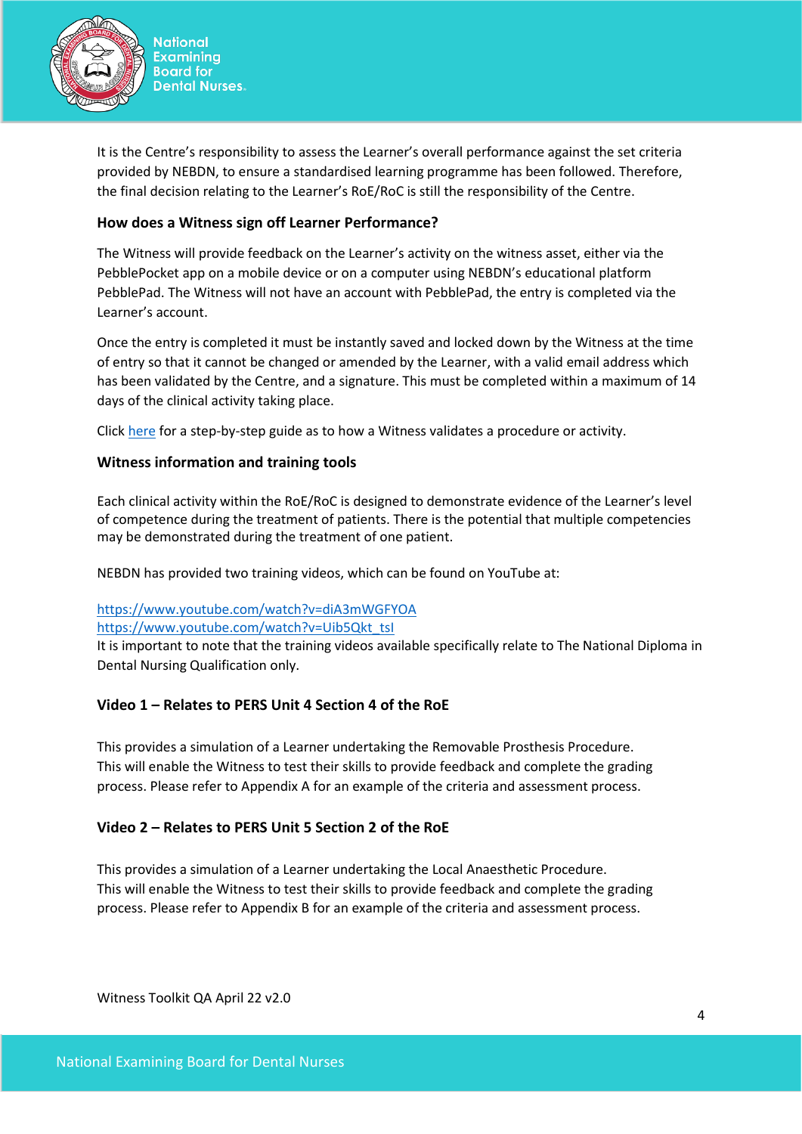

**National Examining Board for Dental Nurses.** 

It is the Centre's responsibility to assess the Learner's overall performance against the set criteria provided by NEBDN, to ensure a standardised learning programme has been followed. Therefore, the final decision relating to the Learner's RoE/RoC is still the responsibility of the Centre.

# **How does a Witness sign off Learner Performance?**

The Witness will provide feedback on the Learner's activity on the witness asset, either via the PebblePocket app on a mobile device or on a computer using NEBDN's educational platform PebblePad. The Witness will not have an account with PebblePad, the entry is completed via the Learner's account.

Once the entry is completed it must be instantly saved and locked down by the Witness at the time of entry so that it cannot be changed or amended by the Learner, with a valid email address which has been validated by the Centre, and a signature. This must be completed within a maximum of 14 days of the clinical activity taking place.

Click [here](https://v3.pebblepad.co.uk/spa/#/public/8M5thW5wR4ffW66GkbkZmZWqhW?historyId=qawC5FlgCH&pageId=8M5thW5wR4ffjnwzfx99wGrhpW) for a step-by-step guide as to how a Witness validates a procedure or activity.

## **Witness information and training tools**

Each clinical activity within the RoE/RoC is designed to demonstrate evidence of the Learner's level of competence during the treatment of patients. There is the potential that multiple competencies may be demonstrated during the treatment of one patient.

NEBDN has provided two training videos, which can be found on YouTube at:

## <https://www.youtube.com/watch?v=diA3mWGFYOA>

#### [https://www.youtube.com/watch?v=Uib5Qkt\\_tsI](https://www.youtube.com/watch?v=Uib5Qkt_tsI)

It is important to note that the training videos available specifically relate to The National Diploma in Dental Nursing Qualification only.

## **Video 1 – Relates to PERS Unit 4 Section 4 of the RoE**

This provides a simulation of a Learner undertaking the Removable Prosthesis Procedure. This will enable the Witness to test their skills to provide feedback and complete the grading process. Please refer to Appendix A for an example of the criteria and assessment process.

## **Video 2 – Relates to PERS Unit 5 Section 2 of the RoE**

This provides a simulation of a Learner undertaking the Local Anaesthetic Procedure. This will enable the Witness to test their skills to provide feedback and complete the grading process. Please refer to Appendix B for an example of the criteria and assessment process.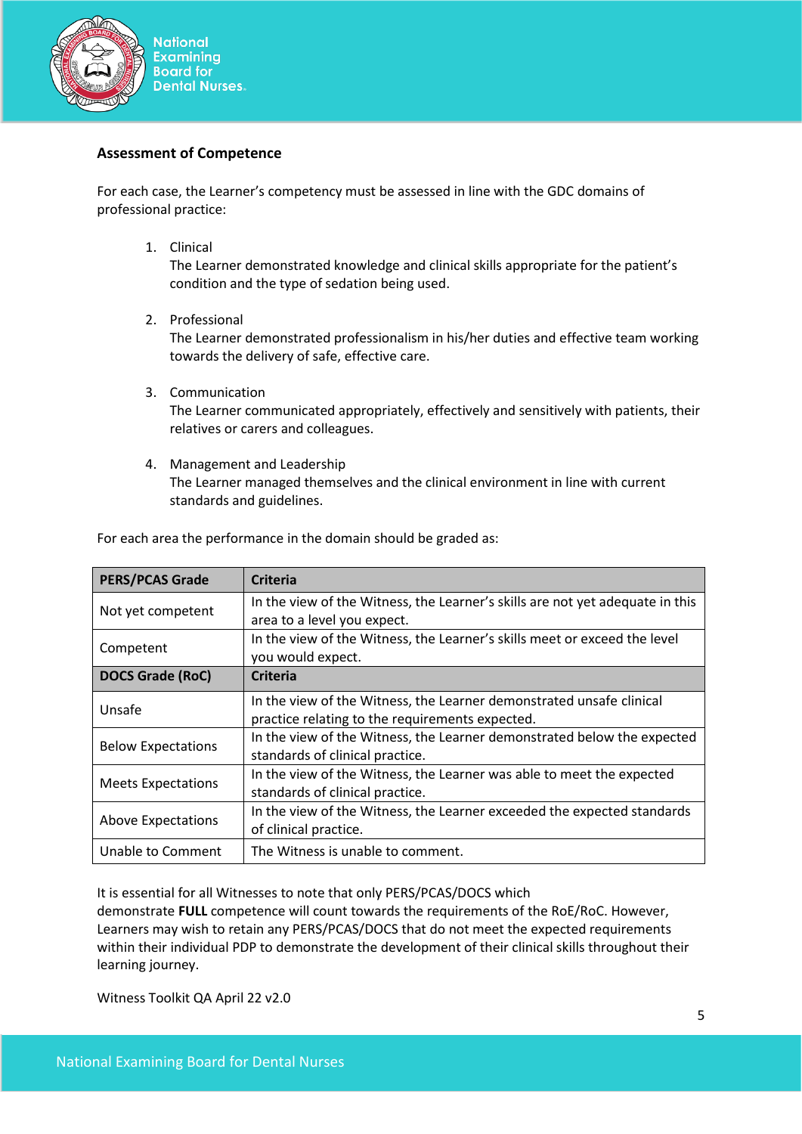

#### **Assessment of Competence**

For each case, the Learner's competency must be assessed in line with the GDC domains of professional practice:

1. Clinical

The Learner demonstrated knowledge and clinical skills appropriate for the patient's condition and the type of sedation being used.

2. Professional

The Learner demonstrated professionalism in his/her duties and effective team working towards the delivery of safe, effective care.

3. Communication

The Learner communicated appropriately, effectively and sensitively with patients, their relatives or carers and colleagues.

4. Management and Leadership

The Learner managed themselves and the clinical environment in line with current standards and guidelines.

| <b>PERS/PCAS Grade</b>    | <b>Criteria</b>                                                               |
|---------------------------|-------------------------------------------------------------------------------|
| Not yet competent         | In the view of the Witness, the Learner's skills are not yet adequate in this |
|                           | area to a level you expect.                                                   |
|                           | In the view of the Witness, the Learner's skills meet or exceed the level     |
| Competent                 | you would expect.                                                             |
| <b>DOCS Grade (RoC)</b>   | <b>Criteria</b>                                                               |
| Unsafe                    | In the view of the Witness, the Learner demonstrated unsafe clinical          |
|                           | practice relating to the requirements expected.                               |
|                           | In the view of the Witness, the Learner demonstrated below the expected       |
| <b>Below Expectations</b> | standards of clinical practice.                                               |
|                           | In the view of the Witness, the Learner was able to meet the expected         |
| <b>Meets Expectations</b> | standards of clinical practice.                                               |
|                           | In the view of the Witness, the Learner exceeded the expected standards       |
| <b>Above Expectations</b> | of clinical practice.                                                         |
| Unable to Comment         | The Witness is unable to comment.                                             |

For each area the performance in the domain should be graded as:

It is essential for all Witnesses to note that only PERS/PCAS/DOCS which

demonstrate **FULL** competence will count towards the requirements of the RoE/RoC. However, Learners may wish to retain any PERS/PCAS/DOCS that do not meet the expected requirements within their individual PDP to demonstrate the development of their clinical skills throughout their learning journey.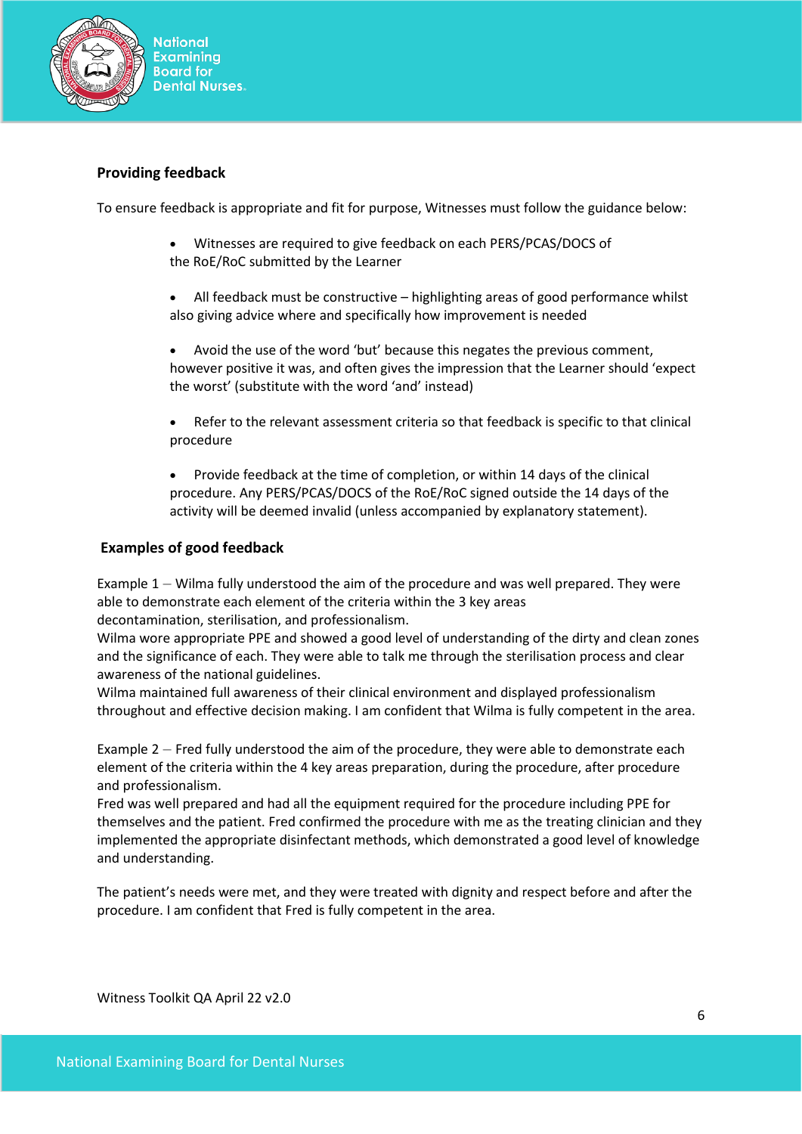

## **Providing feedback**

To ensure feedback is appropriate and fit for purpose, Witnesses must follow the guidance below:

- Witnesses are required to give feedback on each PERS/PCAS/DOCS of the RoE/RoC submitted by the Learner
- All feedback must be constructive highlighting areas of good performance whilst also giving advice where and specifically how improvement is needed
- Avoid the use of the word 'but' because this negates the previous comment, however positive it was, and often gives the impression that the Learner should 'expect the worst' (substitute with the word 'and' instead)
- Refer to the relevant assessment criteria so that feedback is specific to that clinical procedure
- Provide feedback at the time of completion, or within 14 days of the clinical procedure. Any PERS/PCAS/DOCS of the RoE/RoC signed outside the 14 days of the activity will be deemed invalid (unless accompanied by explanatory statement).

#### **Examples of good feedback**

Example 1 – Wilma fully understood the aim of the procedure and was well prepared. They were able to demonstrate each element of the criteria within the 3 key areas decontamination, sterilisation, and professionalism.

Wilma wore appropriate PPE and showed a good level of understanding of the dirty and clean zones and the significance of each. They were able to talk me through the sterilisation process and clear awareness of the national guidelines.

Wilma maintained full awareness of their clinical environment and displayed professionalism throughout and effective decision making. I am confident that Wilma is fully competent in the area.

Example 2 – Fred fully understood the aim of the procedure, they were able to demonstrate each element of the criteria within the 4 key areas preparation, during the procedure, after procedure and professionalism.

Fred was well prepared and had all the equipment required for the procedure including PPE for themselves and the patient. Fred confirmed the procedure with me as the treating clinician and they implemented the appropriate disinfectant methods, which demonstrated a good level of knowledge and understanding.

The patient's needs were met, and they were treated with dignity and respect before and after the procedure. I am confident that Fred is fully competent in the area.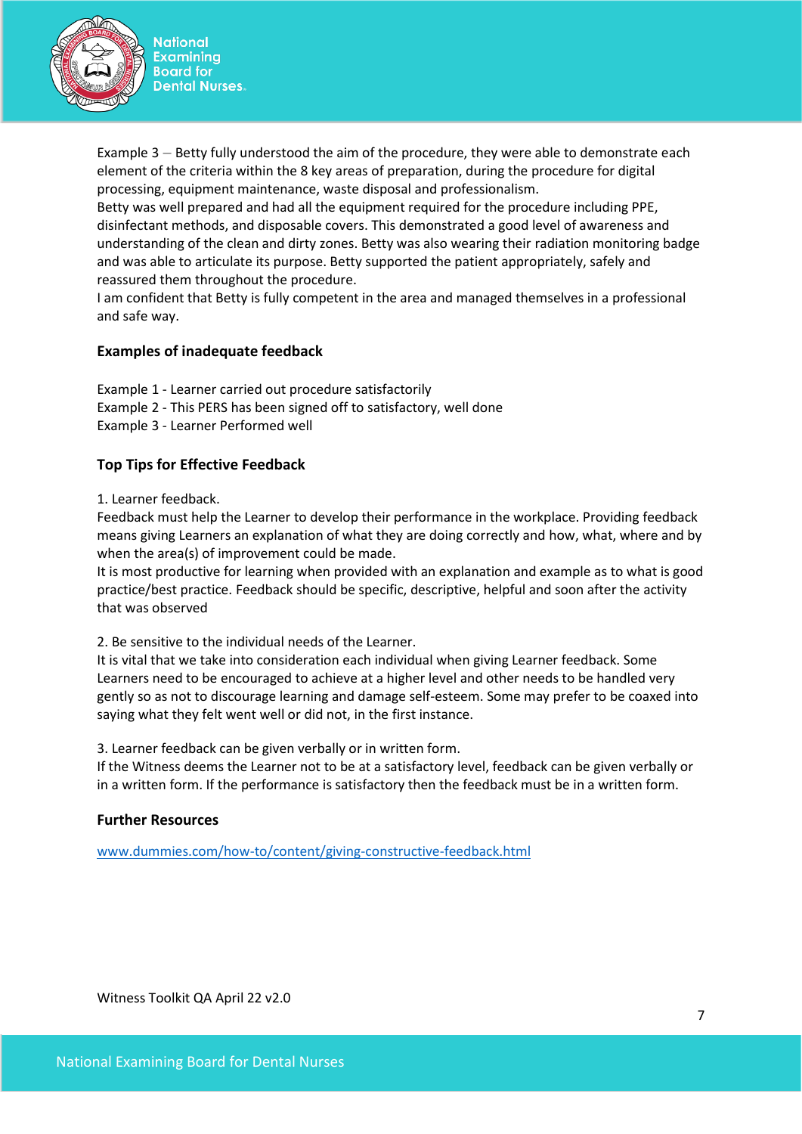

**National Examining Board for Dental Nurses.** 

Example 3 – Betty fully understood the aim of the procedure, they were able to demonstrate each element of the criteria within the 8 key areas of preparation, during the procedure for digital processing, equipment maintenance, waste disposal and professionalism.

Betty was well prepared and had all the equipment required for the procedure including PPE, disinfectant methods, and disposable covers. This demonstrated a good level of awareness and understanding of the clean and dirty zones. Betty was also wearing their radiation monitoring badge and was able to articulate its purpose. Betty supported the patient appropriately, safely and reassured them throughout the procedure.

I am confident that Betty is fully competent in the area and managed themselves in a professional and safe way.

## **Examples of inadequate feedback**

- Example 1 Learner carried out procedure satisfactorily
- Example 2 This PERS has been signed off to satisfactory, well done
- Example 3 Learner Performed well

## **Top Tips for Effective Feedback**

1. Learner feedback.

Feedback must help the Learner to develop their performance in the workplace. Providing feedback means giving Learners an explanation of what they are doing correctly and how, what, where and by when the area(s) of improvement could be made.

It is most productive for learning when provided with an explanation and example as to what is good practice/best practice. Feedback should be specific, descriptive, helpful and soon after the activity that was observed

2. Be sensitive to the individual needs of the Learner.

It is vital that we take into consideration each individual when giving Learner feedback. Some Learners need to be encouraged to achieve at a higher level and other needs to be handled very gently so as not to discourage learning and damage self-esteem. Some may prefer to be coaxed into saying what they felt went well or did not, in the first instance.

3. Learner feedback can be given verbally or in written form.

If the Witness deems the Learner not to be at a satisfactory level, feedback can be given verbally or in a written form. If the performance is satisfactory then the feedback must be in a written form.

#### **Further Resources**

[www.dummies.com/how-to/content/giving-constructive-feedback.html](http://www.dummies.com/how-to/content/giving-constructive-feedback.html)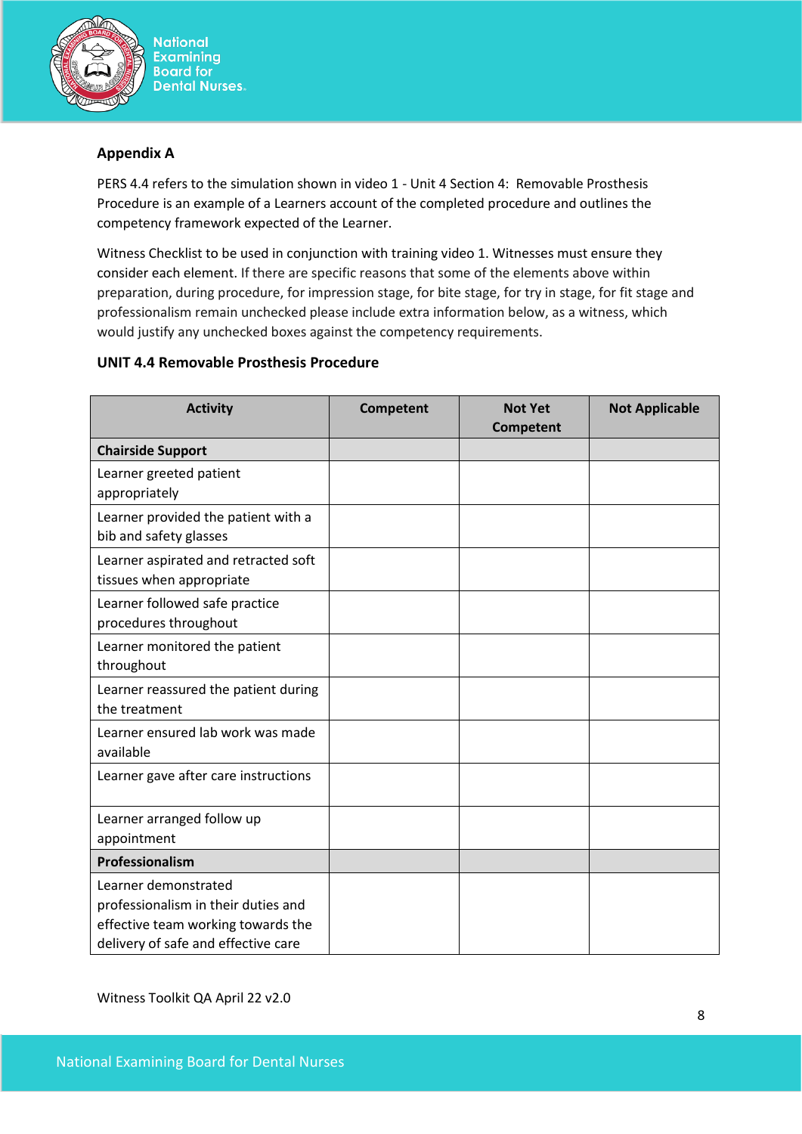

**National Examining Board for Dental Nurses.** 

# **Appendix A**

PERS 4.4 refers to the simulation shown in video 1 - Unit 4 Section 4: Removable Prosthesis Procedure is an example of a Learners account of the completed procedure and outlines the competency framework expected of the Learner.

Witness Checklist to be used in conjunction with training video 1. Witnesses must ensure they consider each element. If there are specific reasons that some of the elements above within preparation, during procedure, for impression stage, for bite stage, for try in stage, for fit stage and professionalism remain unchecked please include extra information below, as a witness, which would justify any unchecked boxes against the competency requirements.

# **UNIT 4.4 Removable Prosthesis Procedure**

| <b>Activity</b>                                                                                                                          | <b>Competent</b> | <b>Not Yet</b><br><b>Competent</b> | <b>Not Applicable</b> |
|------------------------------------------------------------------------------------------------------------------------------------------|------------------|------------------------------------|-----------------------|
| <b>Chairside Support</b>                                                                                                                 |                  |                                    |                       |
| Learner greeted patient<br>appropriately                                                                                                 |                  |                                    |                       |
| Learner provided the patient with a<br>bib and safety glasses                                                                            |                  |                                    |                       |
| Learner aspirated and retracted soft<br>tissues when appropriate                                                                         |                  |                                    |                       |
| Learner followed safe practice<br>procedures throughout                                                                                  |                  |                                    |                       |
| Learner monitored the patient<br>throughout                                                                                              |                  |                                    |                       |
| Learner reassured the patient during<br>the treatment                                                                                    |                  |                                    |                       |
| Learner ensured lab work was made<br>available                                                                                           |                  |                                    |                       |
| Learner gave after care instructions                                                                                                     |                  |                                    |                       |
| Learner arranged follow up<br>appointment                                                                                                |                  |                                    |                       |
| Professionalism                                                                                                                          |                  |                                    |                       |
| Learner demonstrated<br>professionalism in their duties and<br>effective team working towards the<br>delivery of safe and effective care |                  |                                    |                       |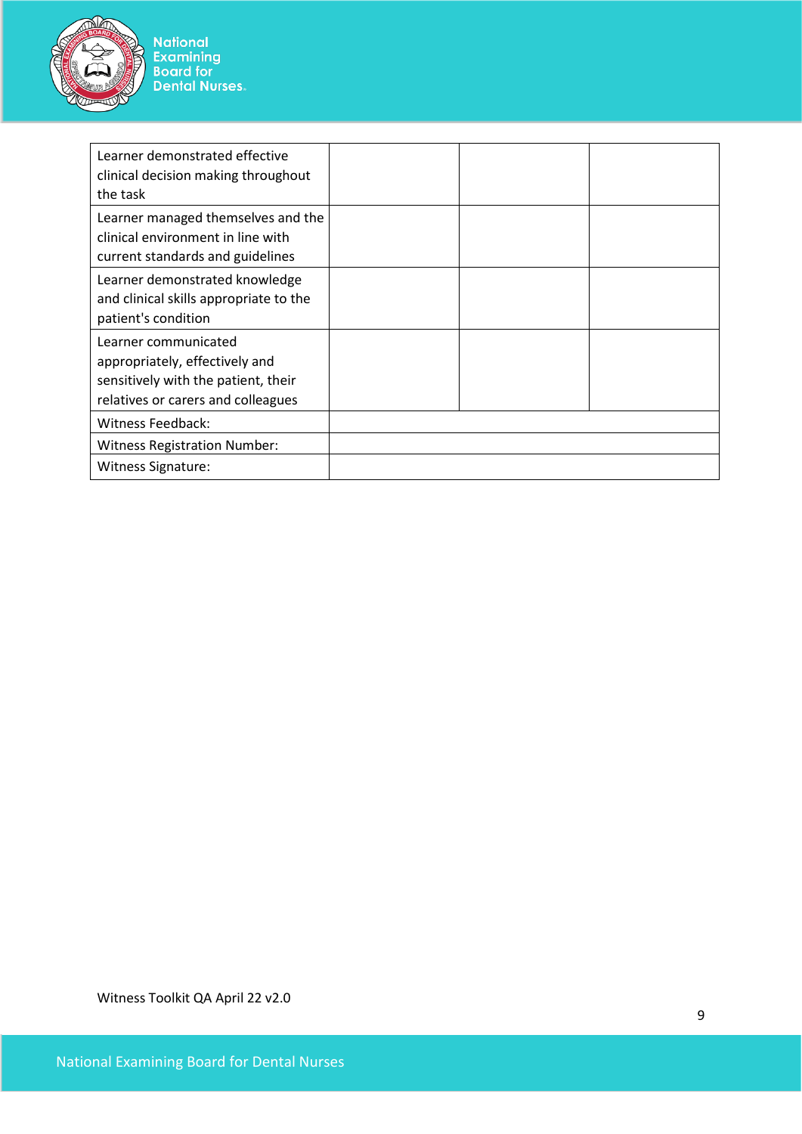

National<br>Examining<br>Board for<br>Dental Nurses

| Learner demonstrated effective<br>clinical decision making throughout<br>the task                                                   |  |  |
|-------------------------------------------------------------------------------------------------------------------------------------|--|--|
| Learner managed themselves and the<br>clinical environment in line with<br>current standards and guidelines                         |  |  |
| Learner demonstrated knowledge<br>and clinical skills appropriate to the<br>patient's condition                                     |  |  |
| Learner communicated<br>appropriately, effectively and<br>sensitively with the patient, their<br>relatives or carers and colleagues |  |  |
| Witness Feedback:                                                                                                                   |  |  |
| <b>Witness Registration Number:</b>                                                                                                 |  |  |
| <b>Witness Signature:</b>                                                                                                           |  |  |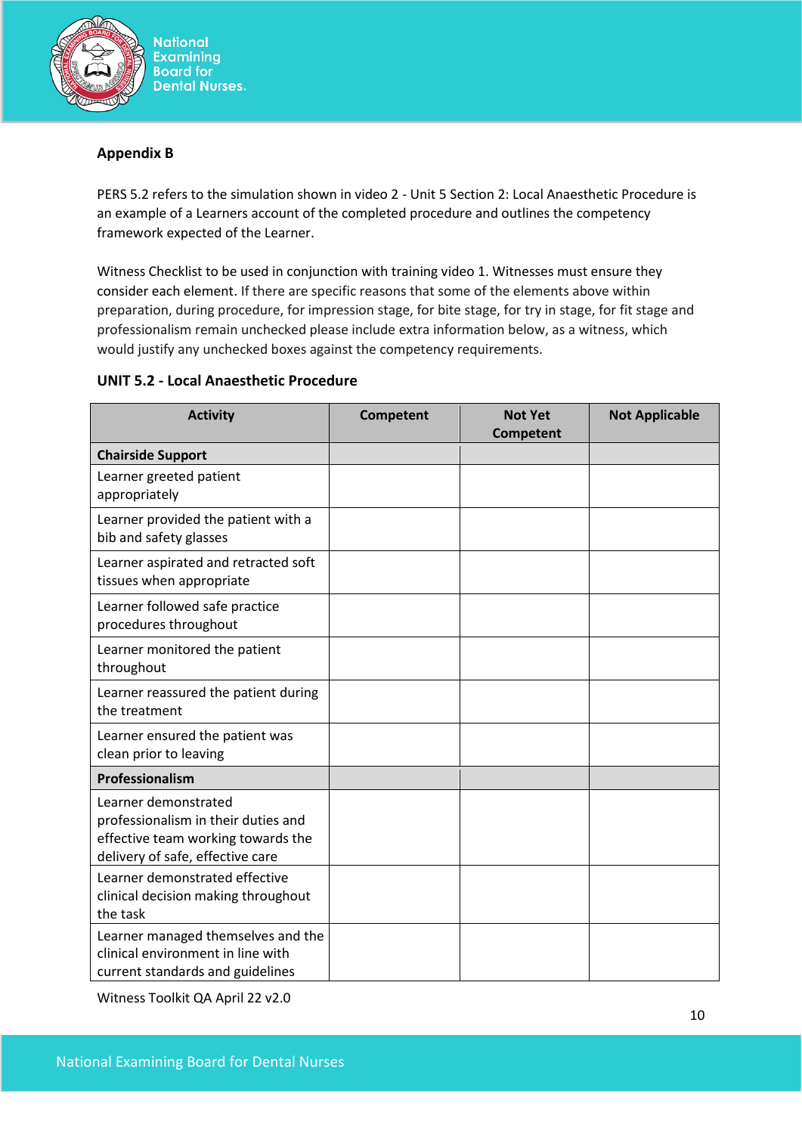

## **Appendix B**

PERS 5.2 refers to the simulation shown in video 2 - Unit 5 Section 2: Local Anaesthetic Procedure is an example of a Learners account of the completed procedure and outlines the competency framework expected of the Learner.

Witness Checklist to be used in conjunction with training video 1. Witnesses must ensure they consider each element. If there are specific reasons that some of the elements above within preparation, during procedure, for impression stage, for bite stage, for try in stage, for fit stage and professionalism remain unchecked please include extra information below, as a witness, which would justify any unchecked boxes against the competency requirements.

## **UNIT 5.2 - Local Anaesthetic Procedure**

| <b>Activity</b>                                                                                                                       | <b>Competent</b> | <b>Not Yet</b><br>Competent | <b>Not Applicable</b> |
|---------------------------------------------------------------------------------------------------------------------------------------|------------------|-----------------------------|-----------------------|
| <b>Chairside Support</b>                                                                                                              |                  |                             |                       |
| Learner greeted patient<br>appropriately                                                                                              |                  |                             |                       |
| Learner provided the patient with a<br>bib and safety glasses                                                                         |                  |                             |                       |
| Learner aspirated and retracted soft<br>tissues when appropriate                                                                      |                  |                             |                       |
| Learner followed safe practice<br>procedures throughout                                                                               |                  |                             |                       |
| Learner monitored the patient<br>throughout                                                                                           |                  |                             |                       |
| Learner reassured the patient during<br>the treatment                                                                                 |                  |                             |                       |
| Learner ensured the patient was<br>clean prior to leaving                                                                             |                  |                             |                       |
| Professionalism                                                                                                                       |                  |                             |                       |
| Learner demonstrated<br>professionalism in their duties and<br>effective team working towards the<br>delivery of safe, effective care |                  |                             |                       |
| Learner demonstrated effective<br>clinical decision making throughout<br>the task                                                     |                  |                             |                       |
| Learner managed themselves and the<br>clinical environment in line with<br>current standards and guidelines                           |                  |                             |                       |